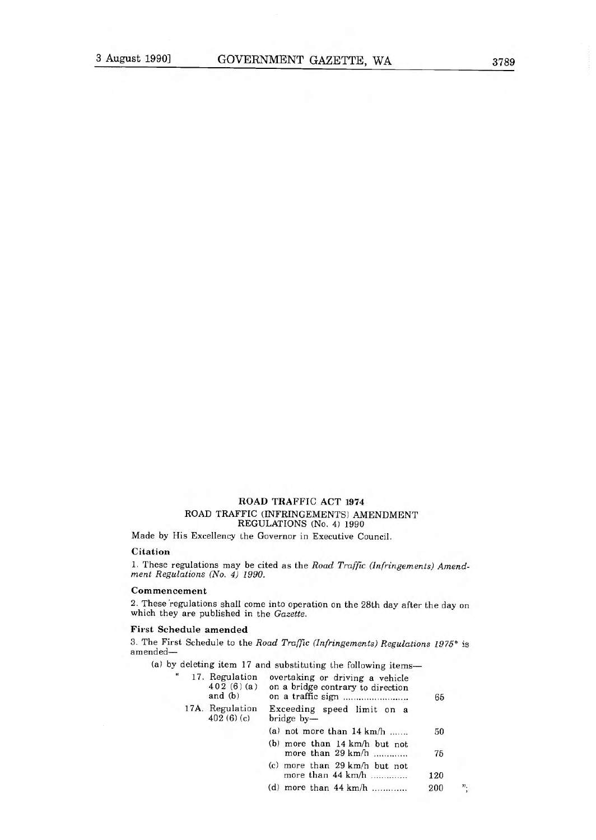## ROAD TRAFFIC ACT 1974 ROAD TRAFFIC (INFRINGEMENTS) AMENDMENT REGULATIONS (No. 4) 1990

Made by His Excellency the Governor in Executive Council.

#### Citation

1. These regulations may be cited as the Road Traffic (Infringements) Amendment Regulations (No. 4) 1990.

#### **Commencement**

2. These 'regulations shall come into operation on the 28th day after the day on which they are published in the Gazette.

### **First Schedule amended**

3. The First Schedule to the Road Traffic (Infringements) Regulations 1975\* is amended—

(a) by deleting item 17 and substituting the following items-

|  | 17. Regulation<br>402(6)(a)<br>and $(b)$ | overtaking or driving a vehicle<br>on a bridge contrary to direction   | 65  |                   |
|--|------------------------------------------|------------------------------------------------------------------------|-----|-------------------|
|  | 17A. Regulation<br>402(6)(c)             | Exceeding speed limit on a<br>bridge by-                               |     |                   |
|  |                                          | (a) not more than $14 \text{ km/h}$                                    | 50  |                   |
|  |                                          | (b) more than $14 \text{ km/h}$ but not<br>more than $29 \text{ km/h}$ | 75  |                   |
|  |                                          | (c) more than $29 \text{ km/h}$ but not<br>more than $44 \text{ km/h}$ | 120 |                   |
|  |                                          | (d) more than $44 \text{ km/h}$                                        | 200 | $^{\prime\prime}$ |